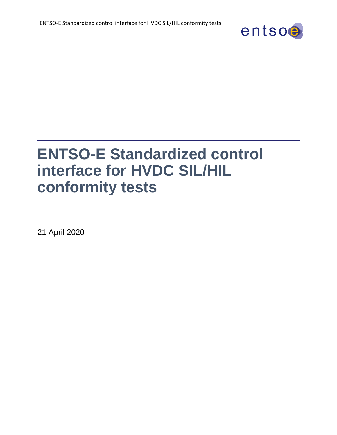

# **ENTSO-E Standardized control interface for HVDC SIL/HIL conformity tests**

21 April 2020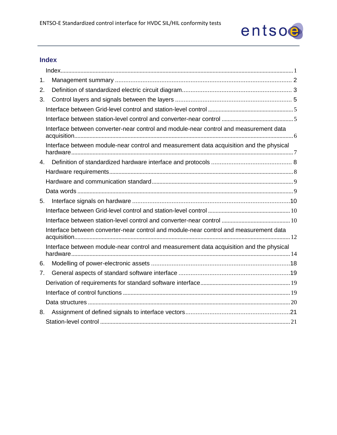

## <span id="page-1-0"></span>**Index**

| 1.             |                                                                                         |  |
|----------------|-----------------------------------------------------------------------------------------|--|
| 2.             |                                                                                         |  |
| 3.             |                                                                                         |  |
|                |                                                                                         |  |
|                |                                                                                         |  |
|                | Interface between converter-near control and module-near control and measurement data   |  |
|                | Interface between module-near control and measurement data acquisition and the physical |  |
| 4 <sup>1</sup> |                                                                                         |  |
|                |                                                                                         |  |
|                |                                                                                         |  |
|                |                                                                                         |  |
| 5.             |                                                                                         |  |
|                |                                                                                         |  |
|                |                                                                                         |  |
|                | Interface between converter-near control and module-near control and measurement data   |  |
|                | Interface between module-near control and measurement data acquisition and the physical |  |
| 6.             |                                                                                         |  |
| 7 <sub>1</sub> |                                                                                         |  |
|                |                                                                                         |  |
|                |                                                                                         |  |
|                |                                                                                         |  |
| 8.             |                                                                                         |  |
|                |                                                                                         |  |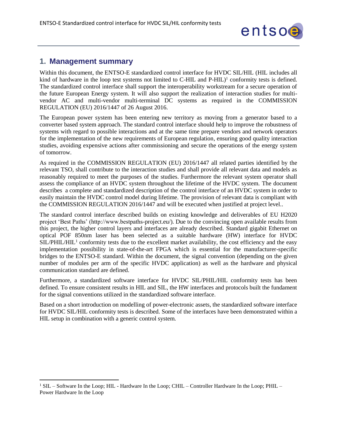

## <span id="page-2-0"></span>**1. Management summary**

 $\overline{a}$ 

Within this document, the ENTSO-E standardized control interface for HVDC SIL/HIL (HIL includes all kind of hardware in the loop test systems not limited to  $C$ -HIL and  $P$ -HIL $)^1$  conformity tests is defined. The standardized control interface shall support the interoperability workstream for a secure operation of the future European Energy system. It will also support the realization of interaction studies for multivendor AC and multi-vendor multi-terminal DC systems as required in the COMMISSION REGULATION (EU) 2016/1447 of 26 August 2016.

The European power system has been entering new territory as moving from a generator based to a converter based system approach. The standard control interface should help to improve the robustness of systems with regard to possible interactions and at the same time prepare vendors and network operators for the implementation of the new requirements of European regulation, ensuring good quality interaction studies, avoiding expensive actions after commissioning and secure the operations of the energy system of tomorrow.

As required in the COMMISSION REGULATION (EU) 2016/1447 all related parties identified by the relevant TSO, shall contribute to the interaction studies and shall provide all relevant data and models as reasonably required to meet the purposes of the studies. Furthermore the relevant system operator shall assess the compliance of an HVDC system throughout the lifetime of the HVDC system. The document describes a complete and standardized description of the control interface of an HVDC system in order to easily maintain the HVDC control model during lifetime. The provision of relevant data is compliant with the COMMISSION REGULATION 2016/1447 and will be executed when justified at project level..

The standard control interface described builds on existing knowledge and deliverables of EU H2020 project 'Best Paths' (http://www.bestpaths-project.eu/). Due to the convincing open available results from this project, the higher control layers and interfaces are already described. Standard gigabit Ethernet on optical POF 850nm laser has been selected as a suitable hardware (HW) interface for HVDC  $SIL/PHIL/HIL<sup>1</sup>$  conformity tests due to the excellent market availability, the cost efficiency and the easy implementation possibility in state-of-the-art FPGA which is essential for the manufacturer-specific bridges to the ENTSO-E standard. Within the document, the signal convention (depending on the given number of modules per arm of the specific HVDC application) as well as the hardware and physical communication standard are defined.

Furthermore, a standardized software interface for HVDC SIL/PHIL/HIL conformity tests has been defined. To ensure consistent results in HIL and SIL, the HW interfaces and protocols built the fundament for the signal conventions utilized in the standardized software interface.

Based on a short introduction on modelling of power-electronic assets, the standardized software interface for HVDC SIL/HIL conformity tests is described. Some of the interfaces have been demonstrated within a HIL setup in combination with a generic control system.

<sup>&</sup>lt;sup>1</sup> SIL – Software In the Loop; HIL - Hardware In the Loop; CHIL – Controller Hardware In the Loop; PHIL – Power Hardware In the Loop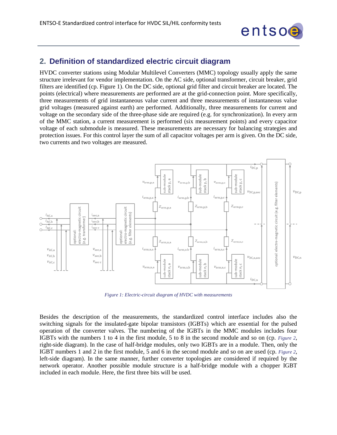

## <span id="page-3-0"></span>**2. Definition of standardized electric circuit diagram**

HVDC converter stations using Modular Multilevel Converters (MMC) topology usually apply the same structure irrelevant for vendor implementation. On the AC side, optional transformer, circuit breaker, grid filters are identified (cp. [Figure 1\)](#page-3-1). On the DC side, optional grid filter and circuit breaker are located. The points (electrical) where measurements are performed are at the grid-connection point. More specifically, three measurements of grid instantaneous value current and three measurements of instantaneous value grid voltages (measured against earth) are performed. Additionally, three measurements for current and voltage on the secondary side of the three-phase side are required (e.g. for synchronization). In every arm of the MMC station, a current measurement is performed (six measurement points) and every capacitor voltage of each submodule is measured. These measurements are necessary for balancing strategies and protection issues. For this control layer the sum of all capacitor voltages per arm is given. On the DC side, two currents and two voltages are measured.



*Figure 1: Electric-circuit diagram of HVDC with measurements*

<span id="page-3-1"></span>Besides the description of the measurements, the standardized control interface includes also the switching signals for the insulated-gate bipolar transistors (IGBTs) which are essential for the pulsed operation of the converter valves. The numbering of the IGBTs in the MMC modules includes four IGBTs with the numbers 1 to 4 in the first module, 5 to 8 in the second module and so on (cp. *[Figure 2](#page-4-0)*, right-side diagram). In the case of half-bridge modules, only two IGBTs are in a module. Then, only the IGBT numbers 1 and 2 in the first module, 5 and 6 in the second module and so on are used (cp. *[Figure 2](#page-4-0)*, left-side diagram). In the same manner, further converter topologies are considered if required by the network operator. Another possible module structure is a half-bridge module with a chopper IGBT included in each module. Here, the first three bits will be used.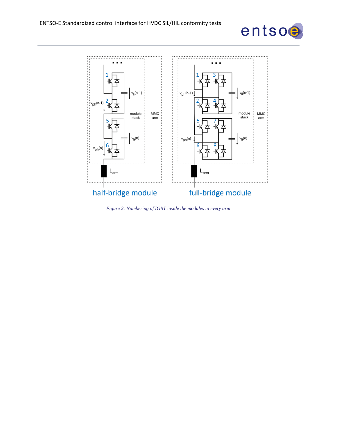



<span id="page-4-0"></span>*Figure 2: Numbering of IGBT inside the modules in every arm*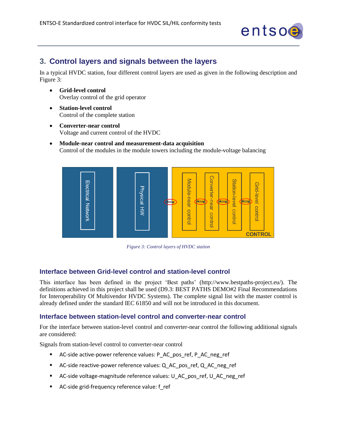

# <span id="page-5-0"></span>**3. Control layers and signals between the layers**

In a typical HVDC station, four different control layers are used as given in the following description and [Figure 3:](#page-5-3)

- **Grid-level control** Overlay control of the grid operator
- **Station-level control** Control of the complete station
- **Converter-near control** Voltage and current control of the HVDC
- **Module-near control and measurement-data acquisition** Control of the modules in the module towers including the module-voltage balancing



*Figure 3: Control layers of HVDC station*

#### <span id="page-5-3"></span><span id="page-5-1"></span>**Interface between Grid-level control and station-level control**

This interface has been defined in the project 'Best paths' (http://www.bestpaths-project.eu/). The definitions achieved in this project shall be used (D9.3: BEST PATHS DEMO#2 Final Recommendations for Interoperability Of Multivendor HVDC Systems). The complete signal list with the master control is already defined under the standard IEC 61850 and will not be introduced in this document.

#### <span id="page-5-2"></span>**Interface between station-level control and converter-near control**

For the interface between station-level control and converter-near control the following additional signals are considered:

Signals from station-level control to converter-near control

- AC-side active-power reference values: P\_AC\_pos\_ref, P\_AC\_neg\_ref
- AC-side reactive-power reference values: Q\_AC\_pos\_ref, Q\_AC\_neg\_ref
- AC-side voltage-magnitude reference values: U\_AC\_pos\_ref, U\_AC\_neg\_ref
- AC-side grid-frequency reference value: f\_ref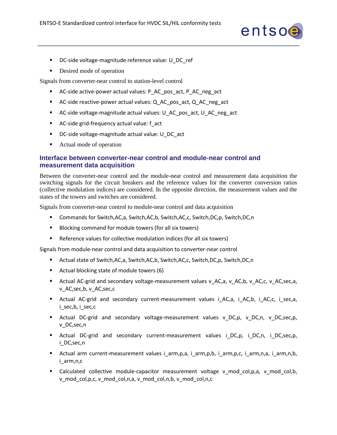

- DC-side voltage-magnitude reference value: U\_DC\_ref
- Desired mode of operation

Signals from converter-near control to station-level control

- AC-side active-power actual values: P\_AC\_pos\_act, P\_AC\_neg\_act
- AC-side reactive-power actual values: Q\_AC\_pos\_act, Q\_AC\_neg\_act
- AC-side voltage-magnitude actual values: U\_AC\_pos\_act, U\_AC\_neg\_act
- AC-side grid-frequency actual value: f\_act
- DC-side voltage-magnitude actual value: U\_DC\_act
- Actual mode of operation

#### <span id="page-6-0"></span>**Interface between converter-near control and module-near control and measurement data acquisition**

Between the converter-near control and the module-near control and measurement data acquisition the switching signals for the circuit breakers and the reference values for the converter conversion ratios (collective modulation indices) are considered. In the opposite direction, the measurement values and the states of the towers and switches are considered.

Signals from converter-near control to module-near control and data acquisition

- Commands for Switch,AC,a, Switch,AC,b, Switch,AC,c, Switch,DC,p, Switch,DC,n
- Blocking command for module towers (for all six towers)
- Reference values for collective modulation indices (for all six towers)

Signals from module-near control and data acquisition to converter-near control

- Actual state of Switch,AC,a, Switch,AC,b, Switch,AC,c, Switch,DC,p, Switch,DC,n
- Actual blocking state of module towers (6)
- Actual AC-grid and secondary voltage-measurement values v\_AC,a, v\_AC,b, v\_AC,c, v\_AC,sec,a, v\_AC,sec,b, v\_AC,sec,c
- Actual AC-grid and secondary current-measurement values i AC,a, i AC,b, i AC,c, i sec,a, i\_sec,b, i\_sec,c
- Actual DC-grid and secondary voltage-measurement values v\_DC,p, v\_DC,n, v\_DC,sec,p, v\_DC,sec,n
- Actual DC-grid and secondary current-measurement values i\_DC,p, i\_DC,n, i\_DC,sec,p, i\_DC,sec,n
- Actual arm current-measurement values i\_arm,p,a, i\_arm,p,b, i\_arm,p,c, i\_arm,n,a, i\_arm,n,b, i\_arm,n,c
- Calculated collective module-capacitor measurement voltage v\_mod\_col,p,a, v\_mod\_col,b, v\_mod\_col,p,c, v\_mod\_col,n,a, v\_mod\_col,n,b, v\_mod\_col,n,c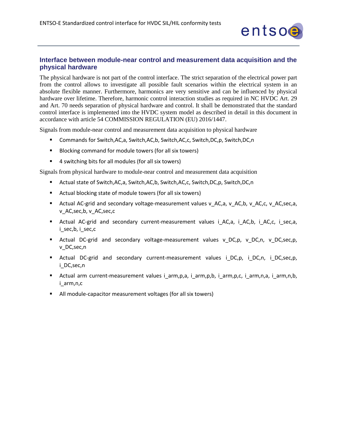

## <span id="page-7-0"></span>**Interface between module-near control and measurement data acquisition and the physical hardware**

The physical hardware is not part of the control interface. The strict separation of the electrical power part from the control allows to investigate all possible fault scenarios within the electrical system in an absolute flexible manner. Furthermore, harmonics are very sensitive and can be influenced by physical hardware over lifetime. Therefore, harmonic control interaction studies as required in NC HVDC Art. 29 and Art. 70 needs separation of physical hardware and control. It shall be demonstrated that the standard control interface is implemented into the HVDC system model as described in detail in this document in accordance with article 54 COMMISSION REGULATION (EU) 2016/1447.

Signals from module-near control and measurement data acquisition to physical hardware

- Commands for Switch,AC,a, Switch,AC,b, Switch,AC,c, Switch,DC,p, Switch,DC,n
- Blocking command for module towers (for all six towers)
- 4 switching bits for all modules (for all six towers)

Signals from physical hardware to module-near control and measurement data acquisition

- Actual state of Switch,AC,a, Switch,AC,b, Switch,AC,c, Switch,DC,p, Switch,DC,n
- Actual blocking state of module towers (for all six towers)
- Actual AC-grid and secondary voltage-measurement values v\_AC,a, v\_AC,b, v\_AC,c, v\_AC,sec,a, v\_AC,sec,b, v\_AC,sec,c
- Actual AC-grid and secondary current-measurement values i AC,a, i AC,b, i AC,c, i sec,a, i\_sec,b, i\_sec,c
- **E** Actual DC-grid and secondary voltage-measurement values v DC,p, v DC,n, v DC,sec,p, v\_DC,sec,n
- Actual DC-grid and secondary current-measurement values iDC,p, iDC,n, iDC,sec,p, i\_DC,sec,n
- Actual arm current-measurement values i\_arm,p,a, i\_arm,p,b, i\_arm,p,c, i\_arm,n,a, i\_arm,n,b, i\_arm,n,c
- All module-capacitor measurement voltages (for all six towers)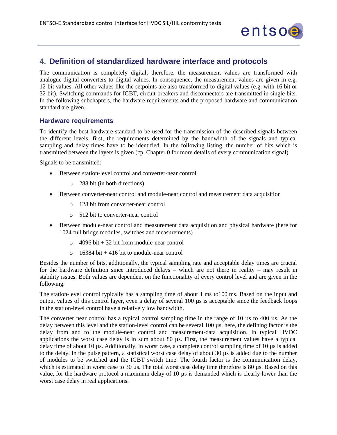

## <span id="page-8-0"></span>**4. Definition of standardized hardware interface and protocols**

The communication is completely digital; therefore, the measurement values are transformed with analogue-digital converters to digital values. In consequence, the measurement values are given in e.g. 12-bit values. All other values like the setpoints are also transformed to digital values (e.g. with 16 bit or 32 bit). Switching commands for IGBT, circuit breakers and disconnectors are transmitted in single bits. In the following subchapters, the hardware requirements and the proposed hardware and communication standard are given.

#### <span id="page-8-1"></span>**Hardware requirements**

To identify the best hardware standard to be used for the transmission of the described signals between the different levels, first, the requirements determined by the bandwidth of the signals and typical sampling and delay times have to be identified. In the following listing, the number of bits which is transmitted between the layers is given (cp. Chapter [0](#page-9-2) for more details of every communication signal).

Signals to be transmitted:

- Between station-level control and converter-near control
	- o 288 bit (in both directions)
- Between converter-near control and module-near control and measurement data acquisition
	- o 128 bit from converter-near control
	- o 512 bit to converter-near control
- Between module-near control and measurement data acquisition and physical hardware (here for 1024 full bridge modules, switches and measurements)
	- $\circ$  4096 bit + 32 bit from module-near control
	- $\circ$  16384 bit + 416 bit to module-near control

Besides the number of bits, additionally, the typical sampling rate and acceptable delay times are crucial for the hardware definition since introduced delays – which are not there in reality – may result in stability issues. Both values are dependent on the functionality of every control level and are given in the following.

The station-level control typically has a sampling time of about 1 ms to100 ms. Based on the input and output values of this control layer, even a delay of several 100 µs is acceptable since the feedback loops in the station-level control have a relatively low bandwidth.

The converter near control has a typical control sampling time in the range of 10 µs to 400 µs. As the delay between this level and the station-level control can be several 100 µs, here, the defining factor is the delay from and to the module-near control and measurement-data acquisition. In typical HVDC applications the worst case delay is in sum about 80 µs. First, the measurement values have a typical delay time of about 10 µs. Additionally, in worst case, a complete control sampling time of 10 µs is added to the delay. In the pulse pattern, a statistical worst case delay of about 30 µs is added due to the number of modules to be switched and the IGBT switch time. The fourth factor is the communication delay, which is estimated in worst case to 30 µs. The total worst case delay time therefore is 80 µs. Based on this value, for the hardware protocol a maximum delay of 10 µs is demanded which is clearly lower than the worst case delay in real applications.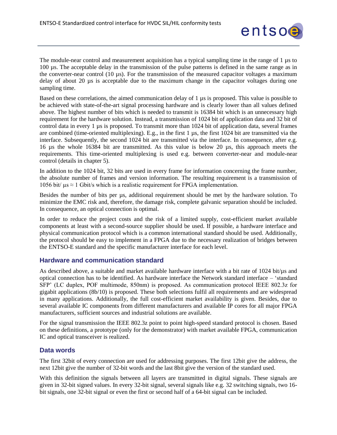

The module-near control and measurement acquisition has a typical sampling time in the range of 1 µs to 100 µs. The acceptable delay in the transmission of the pulse patterns is defined in the same range as in the converter-near control (10 µs). For the transmission of the measured capacitor voltages a maximum delay of about 20 µs is acceptable due to the maximum change in the capacitor voltages during one sampling time.

Based on these correlations, the aimed communication delay of 1 µs is proposed. This value is possible to be achieved with state-of-the-art signal processing hardware and is clearly lower than all values defined above. The highest number of bits which is needed to transmit is 16384 bit which is an unnecessary high requirement for the hardware solution. Instead, a transmission of 1024 bit of application data and 32 bit of control data in every 1 us is proposed. To transmit more than 1024 bit of application data, several frames are combined (time-oriented multiplexing). E.g., in the first 1 µs, the first 1024 bit are transmitted via the interface. Subsequently, the second 1024 bit are transmitted via the interface. In consequence, after e.g. 16 µs the whole 16384 bit are transmitted. As this value is below 20 µs, this approach meets the requirements. This time-oriented multiplexing is used e.g. between converter-near and module-near control (details in chapter 5).

In addition to the 1024 bit, 32 bits are used in every frame for information concerning the frame number, the absolute number of frames and version information. The resulting requirement is a transmission of 1056 bit/  $\mu$ s  $\approx$  1 Gbit/s which is a realistic requirement for FPGA implementation.

Besides the number of bits per us, additional requirement should be met by the hardware solution. To minimize the EMC risk and, therefore, the damage risk, complete galvanic separation should be included. In consequence, an optical connection is optimal.

In order to reduce the project costs and the risk of a limited supply, cost-efficient market available components at least with a second-source supplier should be used. If possible, a hardware interface and physical communication protocol which is a common international standard should be used. Additionally, the protocol should be easy to implement in a FPGA due to the necessary realization of bridges between the ENTSO-E standard and the specific manufacturer interface for each level.

#### <span id="page-9-0"></span>**Hardware and communication standard**

As described above, a suitable and market available hardware interface with a bit rate of 1024 bit/ $\mu$ s and optical connection has to be identified. As hardware interface the Network standard interface – 'standard SFP' (LC duplex, POF multimode, 850nm) is proposed. As communication protocol IEEE 802.3z for gigabit applications (8b/10) is proposed. These both selections fulfil all requirements and are widespread in many applications. Additionally, the full cost-efficient market availability is given. Besides, due to several available IC components from different manufacturers and available IP cores for all major FPGA manufacturers, sufficient sources and industrial solutions are available.

For the signal transmission the IEEE 802.3z point to point high-speed standard protocol is chosen. Based on these definitions, a prototype (only for the demonstrator) with market available FPGA, communication IC and optical transceiver is realized.

#### <span id="page-9-1"></span>**Data words**

The first 32bit of every connection are used for addressing purposes. The first 12bit give the address, the next 12bit give the number of 32-bit words and the last 8bit give the version of the standard used.

<span id="page-9-2"></span>With this definition the signals between all layers are transmitted in digital signals. These signals are given in 32-bit signed values. In every 32-bit signal, several signals like e.g. 32 switching signals, two 16 bit signals, one 32-bit signal or even the first or second half of a 64-bit signal can be included.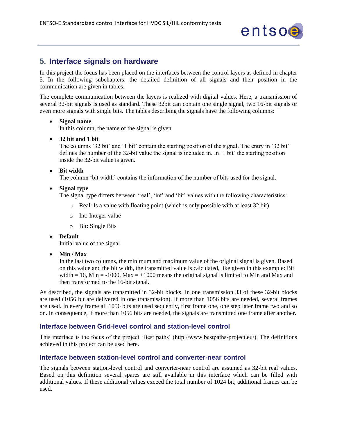

# <span id="page-10-0"></span>**5. Interface signals on hardware**

In this project the focus has been placed on the interfaces between the control layers as defined in chapter [5.](#page-5-0) In the following subchapters, the detailed definition of all signals and their position in the communication are given in tables.

The complete communication between the layers is realized with digital values. Here, a transmission of several 32-bit signals is used as standard. These 32bit can contain one single signal, two 16-bit signals or even more signals with single bits. The tables describing the signals have the following columns:

#### • **Signal name**

In this column, the name of the signal is given

• **32 bit and 1 bit**

The columns '32 bit' and '1 bit' contain the starting position of the signal. The entry in '32 bit' defines the number of the 32-bit value the signal is included in. In '1 bit' the starting position inside the 32-bit value is given.

#### • **Bit width**

The column 'bit width' contains the information of the number of bits used for the signal.

• **Signal type** 

The signal type differs between 'real', 'int' and 'bit' values with the following characteristics:

- o Real: Is a value with floating point (which is only possible with at least 32 bit)
- o Int: Integer value
- o Bit: Single Bits
- **Default**

Initial value of the signal

• **Min / Max**

In the last two columns, the minimum and maximum value of the original signal is given. Based on this value and the bit width, the transmitted value is calculated, like given in this example: Bit width = 16, Min = -1000, Max = +1000 means the original signal is limited to Min and Max and then transformed to the 16-bit signal.

As described, the signals are transmitted in 32-bit blocks. In one transmission 33 of these 32-bit blocks are used (1056 bit are delivered in one transmission). If more than 1056 bits are needed, several frames are used. In every frame all 1056 bits are used sequently, first frame one, one step later frame two and so on. In consequence, if more than 1056 bits are needed, the signals are transmitted one frame after another.

#### <span id="page-10-1"></span>**Interface between Grid-level control and station-level control**

This interface is the focus of the project 'Best paths' (http://www.bestpaths-project.eu/). The definitions achieved in this project can be used here.

#### <span id="page-10-2"></span>**Interface between station-level control and converter-near control**

The signals between station-level control and converter-near control are assumed as 32-bit real values. Based on this definition several spares are still available in this interface which can be filled with additional values. If these additional values exceed the total number of 1024 bit, additional frames can be used.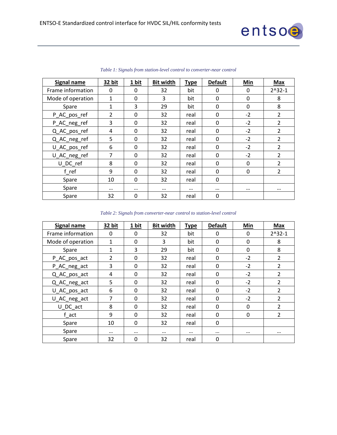

<span id="page-11-0"></span>

| Signal name       | 32 bit   | 1 bit    | <b>Bit width</b> | <b>Type</b> | <b>Default</b> | Min      | <b>Max</b>     |
|-------------------|----------|----------|------------------|-------------|----------------|----------|----------------|
| Frame information | 0        | 0        | 32               | bit         | 0              | 0        | $2^x32-1$      |
| Mode of operation | 1        | $\Omega$ | 3                | bit         | 0              | 0        | 8              |
| Spare             | 1        | 3        | 29               | bit         | 0              | 0        | 8              |
| P_AC_pos_ref      | 2        | $\Omega$ | 32               | real        | 0              | $-2$     | $\overline{2}$ |
| P_AC_neg_ref      | 3        | 0        | 32               | real        | 0              | $-2$     | $\overline{2}$ |
| Q_AC_pos_ref      | 4        | $\Omega$ | 32               | real        | 0              | $-2$     | 2              |
| Q_AC_neg_ref      | 5        | $\Omega$ | 32               | real        | 0              | $-2$     | $\overline{2}$ |
| U_AC_pos_ref      | 6        | $\Omega$ | 32               | real        | 0              | $-2$     | $\overline{2}$ |
| U_AC_neg_ref      | 7        | $\Omega$ | 32               | real        | 0              | $-2$     | $\overline{2}$ |
| U DC ref          | 8        | $\Omega$ | 32               | real        | 0              | 0        | 2              |
| f ref             | 9        | $\Omega$ | 32               | real        | 0              | 0        | $\overline{2}$ |
| Spare             | 10       | $\Omega$ | 32               | real        | 0              |          |                |
| Spare             | $\cdots$ | $\cdots$ | $\cdots$         | $\cdots$    | $\cdots$       | $\cdots$ | $\cdots$       |
| Spare             | 32       | 0        | 32               | real        | 0              |          |                |

*Table 1: Signals from station-level control to converter-near control*

|  |  | Table 2: Signals from converter-near control to station-level control |  |  |
|--|--|-----------------------------------------------------------------------|--|--|
|  |  |                                                                       |  |  |

| Signal name       | 32 bit   | 1 bit    | <b>Bit width</b> | <b>Type</b> | <b>Default</b> | Min      | <b>Max</b>     |
|-------------------|----------|----------|------------------|-------------|----------------|----------|----------------|
| Frame information | 0        | $\Omega$ | 32               | bit         | 0              | 0        | $2^x32-1$      |
| Mode of operation | 1        | $\Omega$ | 3                | bit         | 0              | 0        | 8              |
| Spare             | 1        | 3        | 29               | bit         | $\Omega$       | 0        | 8              |
| P_AC_pos_act      | 2        | $\Omega$ | 32               | real        | 0              | $-2$     | $\overline{2}$ |
| P_AC_neg_act      | 3        | $\Omega$ | 32               | real        | 0              | $-2$     | 2              |
| Q_AC_pos_act      | 4        | $\Omega$ | 32               | real        | 0              | $-2$     | $\overline{2}$ |
| Q_AC_neg_act      | 5        | $\Omega$ | 32               | real        | $\Omega$       | $-2$     | 2              |
| U_AC_pos_act      | 6        | $\Omega$ | 32               | real        | 0              | $-2$     | $\overline{2}$ |
| U_AC_neg_act      | 7        | $\Omega$ | 32               | real        | 0              | $-2$     | 2              |
| U DC act          | 8        | $\Omega$ | 32               | real        | 0              | 0        | $\overline{2}$ |
| f act             | 9        | $\Omega$ | 32               | real        | 0              | 0        | 2              |
| Spare             | 10       | $\Omega$ | 32               | real        | 0              |          |                |
| Spare             | $\cdots$ | $\cdots$ | $\cdots$         | $\cdots$    | $\cdots$       | $\cdots$ | $\cdots$       |
| Spare             | 32       | $\Omega$ | 32               | real        | 0              |          |                |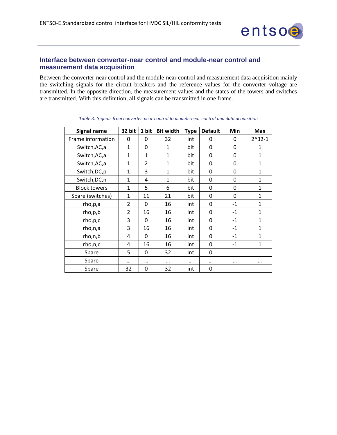

#### <span id="page-12-0"></span>**Interface between converter-near control and module-near control and measurement data acquisition**

Between the converter-near control and the module-near control and measurement data acquisition mainly the switching signals for the circuit breakers and the reference values for the converter voltage are transmitted. In the opposite direction, the measurement values and the states of the towers and switches are transmitted. With this definition, all signals can be transmitted in one frame.

| <b>Signal name</b>  | 32 bit         | 1 bit          | <b>Bit width</b> | <b>Type</b> | <b>Default</b> | Min         | Max          |
|---------------------|----------------|----------------|------------------|-------------|----------------|-------------|--------------|
| Frame information   | 0              | $\Omega$       | 32               | int         | 0              | 0           | $2^x32-1$    |
| Switch, AC, a       | $\mathbf{1}$   | 0              | $\mathbf{1}$     | bit         | $\Omega$       | 0           | $\mathbf{1}$ |
| Switch, AC, a       | 1              | $\mathbf{1}$   | 1                | bit         | $\Omega$       | 0           | $\mathbf{1}$ |
| Switch, AC, a       | $\mathbf{1}$   | $\overline{2}$ | $\mathbf{1}$     | bit         | 0              | 0           | $\mathbf{1}$ |
| Switch, DC, p       | $\mathbf{1}$   | 3              | $\mathbf 1$      | bit         | 0              | $\mathbf 0$ | 1            |
| Switch, DC, n       | 1              | 4              | 1                | bit         | 0              | 0           | 1            |
| <b>Block towers</b> | $\mathbf{1}$   | 5              | 6                | bit         | 0              | 0           | $\mathbf 1$  |
| Spare (switches)    | $\mathbf{1}$   | 11             | 21               | bit         | 0              | 0           | $\mathbf{1}$ |
| rho,p,a             | $\overline{2}$ | $\Omega$       | 16               | int         | 0              | $-1$        | $\mathbf{1}$ |
| rho,p,b             | $\overline{2}$ | 16             | 16               | int         | 0              | $-1$        | 1            |
| rho,p,c             | 3              | $\Omega$       | 16               | int         | 0              | $-1$        | $\mathbf{1}$ |
| rho,n,a             | 3              | 16             | 16               | int         | 0              | $-1$        | 1            |
| rho,n,b             | 4              | $\Omega$       | 16               | int         | $\Omega$       | $-1$        | 1            |
| rho,n,c             | 4              | 16             | 16               | int         | $\Omega$       | $-1$        | 1            |
| Spare               | 5              | $\Omega$       | 32               | Int         | $\Omega$       |             |              |
| Spare               |                | $\cdots$       | $\cdots$         | $\cdots$    | $\cdots$       |             | $\cdots$     |
| Spare               | 32             | 0              | 32               | int         | 0              |             |              |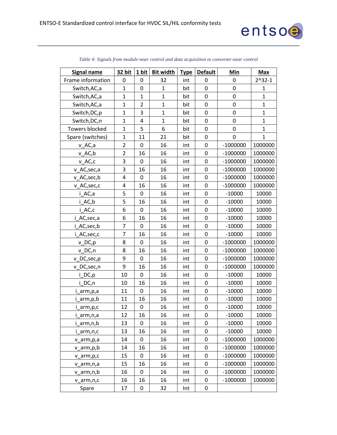

| <b>Signal name</b>    | 32 bit         | 1 bit            | <b>Bit width</b> | <b>Type</b> | <b>Default</b>   | Min              | <b>Max</b>   |
|-----------------------|----------------|------------------|------------------|-------------|------------------|------------------|--------------|
| Frame information     | 0              | 0                | 32               | int         | 0                | 0                | $2^x32-1$    |
| Switch, AC, a         | $\mathbf{1}$   | 0                | $\mathbf{1}$     | bit         | $\mathbf 0$      | $\mathbf 0$      | $\mathbf{1}$ |
| Switch, AC, a         | $\mathbf{1}$   | $\mathbf{1}$     | $\mathbf{1}$     | bit         | $\boldsymbol{0}$ | $\mathbf 0$      | $\mathbf{1}$ |
| Switch, AC, a         | $\mathbf{1}$   | $\overline{2}$   | $\mathbf{1}$     | bit         | $\mathbf 0$      | $\mathbf 0$      | $\mathbf{1}$ |
| Switch, DC, p         | $\mathbf{1}$   | 3                | $\mathbf{1}$     | bit         | $\boldsymbol{0}$ | $\boldsymbol{0}$ | $\mathbf{1}$ |
| Switch, DC, n         | $\overline{1}$ | $\overline{4}$   | $\mathbf{1}$     | bit         | $\mathbf 0$      | $\mathbf 0$      | $\mathbf{1}$ |
| <b>Towers blocked</b> | $\mathbf{1}$   | 5                | 6                | bit         | $\mathbf 0$      | $\mathbf 0$      | $\mathbf{1}$ |
| Spare (switches)      | $\mathbf{1}$   | 11               | 21               | bit         | 0                | 0                | $\mathbf{1}$ |
| v_AC,a                | $\overline{2}$ | $\boldsymbol{0}$ | 16               | int         | 0                | $-1000000$       | 1000000      |
| $v$ $AC,b$            | $\overline{2}$ | 16               | 16               | int         | $\mathbf 0$      | $-1000000$       | 1000000      |
| v_AC,c                | 3              | $\mathbf 0$      | 16               | int         | $\mathbf 0$      | $-1000000$       | 1000000      |
| v_AC,sec,a            | 3              | 16               | 16               | int         | 0                | $-1000000$       | 1000000      |
| v_AC,sec,b            | 4              | $\mathbf 0$      | 16               | int         | 0                | $-1000000$       | 1000000      |
| v_AC,sec,c            | 4              | 16               | 16               | int         | 0                | $-1000000$       | 1000000      |
| i AC,a                | 5              | $\mathbf 0$      | 16               | int         | $\mathbf 0$      | $-10000$         | 10000        |
| i_AC,b                | 5              | 16               | 16               | int         | $\mathbf 0$      | $-10000$         | 10000        |
| i_AC,c                | 6              | $\mathbf 0$      | 16               | int         | $\mathbf 0$      | $-10000$         | 10000        |
| i_AC,sec,a            | 6              | 16               | 16               | int         | 0                | $-10000$         | 10000        |
| i_AC,sec,b            | $\overline{7}$ | $\mathbf 0$      | 16               | int         | $\mathbf 0$      | $-10000$         | 10000        |
| i_AC,sec,c            | $\overline{7}$ | 16               | 16               | int         | 0                | $-10000$         | 10000        |
| v_DC,p                | 8              | 0                | 16               | int         | 0                | $-1000000$       | 1000000      |
| v_DC,n                | 8              | 16               | 16               | int         | $\mathbf 0$      | $-1000000$       | 1000000      |
| v DC, sec, p          | 9              | 0                | 16               | int         | $\mathbf 0$      | $-1000000$       | 1000000      |
| v_DC,sec,n            | 9              | 16               | 16               | int         | 0                | $-1000000$       | 1000000      |
| $i$ DC, $p$           | 10             | 0                | 16               | int         | 0                | $-10000$         | 10000        |
| i DC,n                | 10             | 16               | 16               | int         | 0                | $-10000$         | 10000        |
| i_arm,p,a             | 11             | $\mathbf 0$      | 16               | int         | 0                | $-10000$         | 10000        |
| i_arm,p,b             | 11             | 16               | 16               | int         | $\mathbf 0$      | $-10000$         | 10000        |
| i_arm,p,c             | 12             | $\mathbf 0$      | 16               | int         | $\boldsymbol{0}$ | $-10000$         | 10000        |
| i arm,n,a             | 12             | 16               | 16               | int         | 0                | $-10000$         | 10000        |
| i_arm,n,b             | 13             | $\mathbf 0$      | 16               | int         | 0                | $-10000$         | 10000        |
| i_arm,n,c             | 13             | 16               | 16               | int         | 0                | $-10000$         | 10000        |
| v_arm,p,a             | 14             | 0                | 16               | int         | 0                | $-1000000$       | 1000000      |
| v_arm,p,b             | 14             | 16               | 16               | int         | 0                | $-1000000$       | 1000000      |
| v_arm,p,c             | 15             | 0                | 16               | int         | 0                | $-1000000$       | 1000000      |
| v_arm,n,a             | 15             | 16               | 16               | int         | 0                | $-1000000$       | 1000000      |
| v arm, n, b           | 16             | 0                | 16               | int         | 0                | $-1000000$       | 1000000      |
| v arm, n, c           | 16             | 16               | 16               | int         | 0                | $-1000000$       | 1000000      |
| Spare                 | 17             | $\mathbf 0$      | 32               | Int         | 0                |                  |              |

#### *Table 4: Signals from module-near control and data acquisition to converter-near control*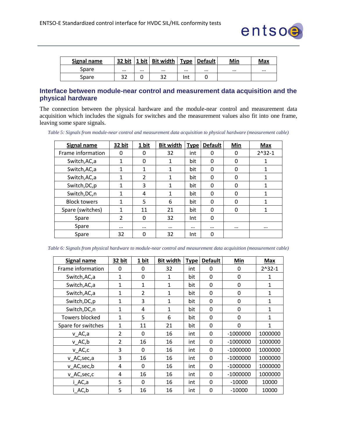

| Signal name | 32 bit   | 1 bit   Bit width | <b>Type</b> | Default  | Min      | Max      |
|-------------|----------|-------------------|-------------|----------|----------|----------|
| Spare       | $\cdots$ | <br>$\cdots$      |             | $\cdots$ | $\cdots$ | $\cdots$ |
| Spare       | 32       | 32                | Int         |          |          |          |

## <span id="page-14-0"></span>**Interface between module-near control and measurement data acquisition and the physical hardware**

The connection between the physical hardware and the module-near control and measurement data acquisition which includes the signals for switches and the measurement values also fit into one frame, leaving some spare signals.

|  |  |  |  |  | Table 5: Signals from module-near control and measurement data acquisition to physical hardware (measurement cable) |  |
|--|--|--|--|--|---------------------------------------------------------------------------------------------------------------------|--|
|  |  |  |  |  |                                                                                                                     |  |
|  |  |  |  |  |                                                                                                                     |  |

| Signal name         | 32 bit         | 1 bit          | <b>Bit width</b> | <b>Type</b> | <b>Default</b> | Min      | <b>Max</b> |
|---------------------|----------------|----------------|------------------|-------------|----------------|----------|------------|
| Frame information   | $\Omega$       | 0              | 32               | int         | 0              | 0        | $2^332-1$  |
| Switch, AC, a       | $\mathbf{1}$   | 0              | 1                | bit         | 0              | $\Omega$ | 1          |
| Switch, AC, a       | $\mathbf{1}$   | 1              | 1                | bit         | 0              | 0        | 1          |
| Switch, AC, a       | $\mathbf{1}$   | $\overline{2}$ | 1                | bit         | 0              | 0        | 1          |
| Switch, DC, p       | 1              | 3              | 1                | bit         | 0              | 0        | 1          |
| Switch, DC, n       | 1              | 4              | 1                | bit         | 0              | 0        | 1          |
| <b>Block towers</b> | $\mathbf{1}$   | 5              | 6                | bit         | 0              | $\Omega$ | 1          |
| Spare (switches)    | 1              | 11             | 21               | bit         | 0              | $\Omega$ | 1          |
| Spare               | $\overline{2}$ | $\Omega$       | 32               | Int         | 0              |          |            |
| Spare               | $\cdots$       | $\cdots$       |                  | $\cdots$    |                | $\cdots$ |            |
| Spare               | 32             | 0              | 32               | Int         | 0              |          |            |

| Table 6: Signals from physical hardware to module-near control and measurement data acquisition (measurement cable) |  |
|---------------------------------------------------------------------------------------------------------------------|--|
|---------------------------------------------------------------------------------------------------------------------|--|

| <b>Signal name</b>    | 32 bit         | 1 bit          | <b>Bit width</b> | <b>Type</b> | <b>Default</b> | Min          | <b>Max</b> |
|-----------------------|----------------|----------------|------------------|-------------|----------------|--------------|------------|
| Frame information     | 0              | $\Omega$       | 32               | int         | 0              | 0            | $2^x32-1$  |
| Switch, AC, a         | $\mathbf{1}$   | $\Omega$       | 1                | bit         | 0              | 0            | 1          |
| Switch, AC, a         | 1              | 1              | 1                | bit         | 0              | 0            | 1          |
| Switch, AC, a         | $\mathbf{1}$   | $\overline{2}$ | 1                | bit         | 0              | 0            | 1          |
| Switch, DC, p         | 1              | 3              | 1                | bit         | 0              | $\mathbf{0}$ | 1          |
| Switch, DC, n         | 1              | 4              | 1                | bit         | 0              | $\mathbf 0$  | 1          |
| <b>Towers blocked</b> | $\mathbf{1}$   | 5              | 6                | bit         | 0              | 0            | 1          |
| Spare for switches    | $\mathbf{1}$   | 11             | 21               | bit         | 0              | $\mathbf{0}$ | 1          |
| v AC,a                | $\overline{2}$ | $\Omega$       | 16               | int         | $\Omega$       | $-1000000$   | 1000000    |
| $v$ $AC,b$            | 2              | 16             | 16               | int         | 0              | $-1000000$   | 1000000    |
| v AC,c                | 3              | $\Omega$       | 16               | int         | 0              | $-1000000$   | 1000000    |
| v_AC,sec,a            | 3              | 16             | 16               | int         | 0              | $-1000000$   | 1000000    |
| v AC, sec, b          | 4              | 0              | 16               | int         | 0              | $-1000000$   | 1000000    |
| v AC, sec, c          | 4              | 16             | 16               | int         | $\Omega$       | $-1000000$   | 1000000    |
| i AC,a                | 5              | 0              | 16               | int         | 0              | $-10000$     | 10000      |
| i AC,b                | 5              | 16             | 16               | int         | 0              | $-10000$     | 10000      |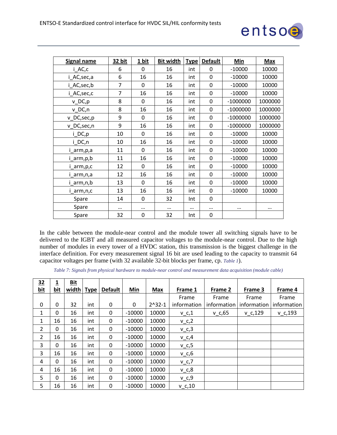

| <b>Signal name</b> | 32 bit | 1 bit    | <b>Bit width</b> | <b>Type</b> | <b>Default</b> | Min        | <b>Max</b> |
|--------------------|--------|----------|------------------|-------------|----------------|------------|------------|
| i_AC,c             | 6      | $\Omega$ | 16               | int         | $\Omega$       | $-10000$   | 10000      |
| i_AC,sec,a         | 6      | 16       | 16               | int         | 0              | $-10000$   | 10000      |
| i AC,sec,b         | 7      | 0        | 16               | int         | 0              | $-10000$   | 10000      |
| i_AC,sec,c         | 7      | 16       | 16               | int         | 0              | $-10000$   | 10000      |
| $v\_DC, p$         | 8      | 0        | 16               | int         | 0              | $-1000000$ | 1000000    |
| v DC,n             | 8      | 16       | 16               | int         | 0              | $-1000000$ | 1000000    |
| v_DC,sec,p         | 9      | 0        | 16               | int         | 0              | $-1000000$ | 1000000    |
| v_DC,sec,n         | 9      | 16       | 16               | int         | $\Omega$       | $-1000000$ | 1000000    |
| i_DC,p             | 10     | 0        | 16               | int         | 0              | $-10000$   | 10000      |
| i DC,n             | 10     | 16       | 16               | int         | 0              | $-10000$   | 10000      |
| arm,p,a            | 11     | 0        | 16               | int         | 0              | $-10000$   | 10000      |
| arm,p,b            | 11     | 16       | 16               | int         | 0              | $-10000$   | 10000      |
| i_arm,p,c          | 12     | 0        | 16               | int         | 0              | $-10000$   | 10000      |
| arm,n,a            | 12     | 16       | 16               | int         | 0              | $-10000$   | 10000      |
| arm,n,b            | 13     | 0        | 16               | int         | 0              | $-10000$   | 10000      |
| i_arm,n,c          | 13     | 16       | 16               | int         | 0              | $-10000$   | 10000      |
| Spare              | 14     | 0        | 32               | Int         | 0              |            |            |
| Spare              |        |          |                  | $\cdots$    |                | $\cdots$   | $\cdots$   |
| Spare              | 32     | 0        | 32               | Int         | 0              |            |            |

In the cable between the module-near control and the module tower all switching signals have to be delivered to the IGBT and all measured capacitor voltages to the module-near control. Due to the high number of modules in every tower of a HVDC station, this transmission is the biggest challenge in the interface definition. For every measurement signal 16 bit are used leading to the capacity to transmit 64 capacitor voltages per frame (with 32 available 32-bit blocks per frame, cp. *[Table 1](#page-11-0)*).

*Table 7: Signals from physical hardware to module-near control and measurement data acquisition (module cable)*

| $\overline{32}$  | 1            | <b>Bit</b> |             |                |            |           |             |             |             |              |
|------------------|--------------|------------|-------------|----------------|------------|-----------|-------------|-------------|-------------|--------------|
| <u>bit</u>       | <b>bit</b>   | width      | <b>Type</b> | <b>Default</b> | <b>Min</b> | Max       | Frame 1     | Frame 2     | Frame 3     | Frame 4      |
|                  |              |            |             |                |            |           | Frame       | Frame       | Frame       | Frame        |
| $\boldsymbol{0}$ | 0            | 32         | int         | 0              | 0          | $2^x32-1$ | information | information | information | information  |
| 1                | 0            | 16         | int         | 0              | $-10000$   | 10000     | $v_{C,1}$   | $v_{C,65}$  | $v_c$ ,129  | $v_{C}$ ,193 |
| $\mathbf{1}$     | 16           | 16         | int         | 0              | $-10000$   | 10000     | $v_c$ ,2    |             |             |              |
| $\overline{2}$   | $\mathbf{0}$ | 16         | int         | 0              | $-10000$   | 10000     | $v_c,3$     |             |             |              |
| $\overline{2}$   | 16           | 16         | int         | 0              | $-10000$   | 10000     | $v_c,4$     |             |             |              |
| 3                | 0            | 16         | int         | 0              | $-10000$   | 10000     | $v_c, 5$    |             |             |              |
| 3                | 16           | 16         | int         | 0              | $-10000$   | 10000     | $v_c,6$     |             |             |              |
| 4                | $\mathbf{0}$ | 16         | int         | $\Omega$       | $-10000$   | 10000     | $v_c$ ,7    |             |             |              |
| 4                | 16           | 16         | int         | 0              | $-10000$   | 10000     | $v_c, 8$    |             |             |              |
| 5                | $\mathbf{0}$ | 16         | int         | 0              | $-10000$   | 10000     | $v_c, 9$    |             |             |              |
| 5                | 16           | 16         | int         | 0              | $-10000$   | 10000     | $v_c$ ,10   |             |             |              |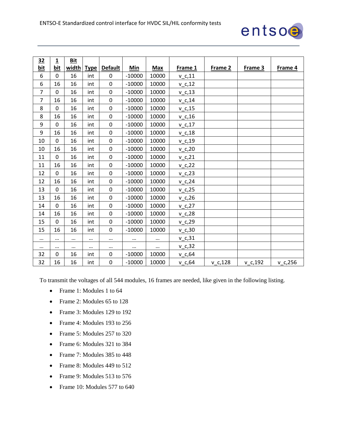

| 32             | 1              | <b>Bit</b> |             |                  |          |            |            |            |            |            |
|----------------|----------------|------------|-------------|------------------|----------|------------|------------|------------|------------|------------|
| <b>bit</b>     | bit            | width      | <b>Type</b> | <b>Default</b>   | Min      | <b>Max</b> | Frame 1    | Frame 2    | Frame 3    | Frame 4    |
| 6              | $\Omega$       | 16         | int         | $\mathbf 0$      | $-10000$ | 10000      | $v_c$ ,11  |            |            |            |
| 6              | 16             | 16         | int         | $\mathbf 0$      | $-10000$ | 10000      | $V_C$ , 12 |            |            |            |
| $\overline{7}$ | $\Omega$       | 16         | int         | 0                | $-10000$ | 10000      | $v_c$ ,13  |            |            |            |
| $\overline{7}$ | 16             | 16         | int         | $\mathbf 0$      | $-10000$ | 10000      | $v_c$ ,14  |            |            |            |
| 8              | $\mathbf 0$    | 16         | int         | $\boldsymbol{0}$ | $-10000$ | 10000      | $v_c$ ,15  |            |            |            |
| 8              | 16             | 16         | int         | $\mathbf 0$      | $-10000$ | 10000      | $v_c$ ,16  |            |            |            |
| 9              | $\Omega$       | 16         | int         | $\mathbf 0$      | $-10000$ | 10000      | $v_c$ ,17  |            |            |            |
| 9              | 16             | 16         | int         | $\mathbf 0$      | $-10000$ | 10000      | $v_c$ ,18  |            |            |            |
| 10             | $\Omega$       | 16         | int         | $\mathbf 0$      | $-10000$ | 10000      | $v_c$ ,19  |            |            |            |
| 10             | 16             | 16         | int         | $\mathbf 0$      | $-10000$ | 10000      | $v_c$ ,20  |            |            |            |
| 11             | $\mathbf 0$    | 16         | int         | $\mathbf 0$      | $-10000$ | 10000      | $v_c$ ,21  |            |            |            |
| 11             | 16             | 16         | int         | $\mathbf 0$      | $-10000$ | 10000      | $V_{C,22}$ |            |            |            |
| 12             | $\overline{0}$ | 16         | int         | $\mathbf 0$      | $-10000$ | 10000      | $v_c$ , 23 |            |            |            |
| 12             | 16             | 16         | int         | $\boldsymbol{0}$ | $-10000$ | 10000      | $v_c$ , 24 |            |            |            |
| 13             | $\Omega$       | 16         | int         | 0                | $-10000$ | 10000      | $v_c$ , 25 |            |            |            |
| 13             | 16             | 16         | int         | $\mathbf 0$      | $-10000$ | 10000      | $v_c$ , 26 |            |            |            |
| 14             | $\Omega$       | 16         | int         | 0                | $-10000$ | 10000      | $v_c$ ,27  |            |            |            |
| 14             | 16             | 16         | int         | $\mathbf 0$      | $-10000$ | 10000      | $v_c$ , 28 |            |            |            |
| 15             | $\mathbf 0$    | 16         | int         | $\boldsymbol{0}$ | $-10000$ | 10000      | $v_c$ , 29 |            |            |            |
| 15             | 16             | 16         | int         | $\mathbf 0$      | $-10000$ | 10000      | $v_c,30$   |            |            |            |
| $\cdots$       |                |            |             |                  |          | $\cdots$   | $v_c, 31$  |            |            |            |
| $\cdots$       |                | $\cdots$   | $\cdots$    | $\cdots$         | $\cdots$ | $\cdots$   | $v_c$ , 32 |            |            |            |
| 32             | $\mathbf 0$    | 16         | int         | $\boldsymbol{0}$ | $-10000$ | 10000      | $v_c,64$   |            |            |            |
| 32             | 16             | 16         | int         | $\mathbf 0$      | $-10000$ | 10000      | $v_c,64$   | $v_c$ ,128 | $v_c$ ,192 | $v_c$ ,256 |

To transmit the voltages of all 544 modules, 16 frames are needed, like given in the following listing.

- Frame 1: Modules 1 to 64
- Frame 2: Modules 65 to 128
- Frame 3: Modules 129 to 192
- Frame 4: Modules 193 to 256
- Frame 5: Modules 257 to 320
- Frame 6: Modules 321 to 384
- Frame 7: Modules 385 to 448
- Frame 8: Modules 449 to 512
- Frame 9: Modules 513 to 576
- Frame 10: Modules 577 to 640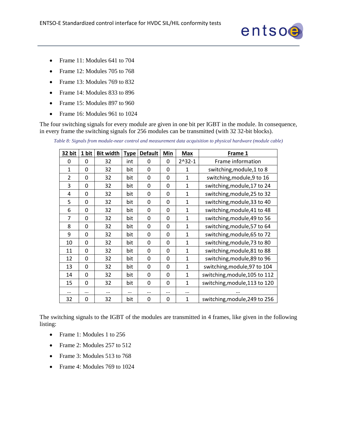

- Frame 11: Modules 641 to 704
- Frame 12: Modules 705 to 768
- Frame 13: Modules 769 to 832
- Frame 14: Modules 833 to 896
- Frame 15: Modules 897 to 960
- Frame 16: Modules 961 to 1024

The four switching signals for every module are given in one bit per IGBT in the module. In consequence, in every frame the switching signals for 256 modules can be transmitted (with 32 32-bit blocks).

| Table 8: Signals from module-near control and measurement data acquisition to physical hardware (module cable) |
|----------------------------------------------------------------------------------------------------------------|
|----------------------------------------------------------------------------------------------------------------|

| 32 bit         | 1 bit    | <b>Bit width</b> | <b>Type</b> | <b>Default</b> | Min      | <b>Max</b>   | Frame 1                       |
|----------------|----------|------------------|-------------|----------------|----------|--------------|-------------------------------|
| $\Omega$       | 0        | 32               | int         | $\Omega$       | $\Omega$ | $2^x32-1$    | Frame information             |
| $\mathbf{1}$   | 0        | 32               | bit         | 0              | $\Omega$ | 1            | switching, module, 1 to 8     |
| $\overline{2}$ | 0        | 32               | bit         | $\mathbf{0}$   | $\Omega$ | 1            | switching, module, 9 to 16    |
| 3              | 0        | 32               | bit         | 0              | $\Omega$ | 1            | switching, module, 17 to 24   |
| 4              | 0        | 32               | bit         | 0              | 0        | 1            | switching, module, 25 to 32   |
| 5              | $\Omega$ | 32               | bit         | 0              | 0        | 1            | switching, module, 33 to 40   |
| 6              | 0        | 32               | bit         | 0              | 0        | 1            | switching, module, 41 to 48   |
| 7              | 0        | 32               | bit         | 0              | 0        | 1            | switching, module, 49 to 56   |
| 8              | 0        | 32               | bit         | 0              | 0        | $\mathbf{1}$ | switching, module, 57 to 64   |
| 9              | $\Omega$ | 32               | bit         | 0              | $\Omega$ | 1            | switching, module, 65 to 72   |
| 10             | 0        | 32               | bit         | $\mathbf{0}$   | 0        | $\mathbf{1}$ | switching, module, 73 to 80   |
| 11             | 0        | 32               | bit         | 0              | 0        | $\mathbf{1}$ | switching, module, 81 to 88   |
| 12             | 0        | 32               | bit         | 0              | 0        | 1            | switching, module, 89 to 96   |
| 13             | 0        | 32               | bit         | 0              | 0        | $\mathbf{1}$ | switching, module, 97 to 104  |
| 14             | 0        | 32               | bit         | 0              | $\Omega$ | 1            | switching, module, 105 to 112 |
| 15             | $\Omega$ | 32               | bit         | 0              | $\Omega$ | $\mathbf{1}$ | switching, module, 113 to 120 |
|                |          |                  |             |                |          |              |                               |
| 32             | 0        | 32               | bit         | $\Omega$       | $\Omega$ | $\mathbf{1}$ | switching, module, 249 to 256 |

The switching signals to the IGBT of the modules are transmitted in 4 frames, like given in the following listing:

- Frame 1: Modules 1 to 256
- Frame 2: Modules 257 to 512
- Frame 3: Modules 513 to 768
- Frame 4: Modules 769 to 1024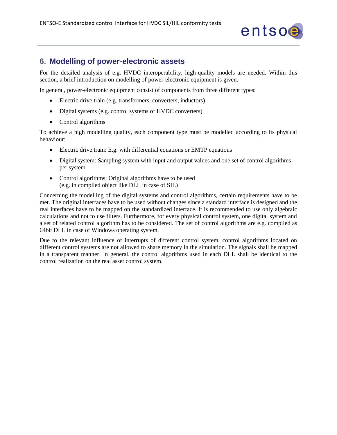

## <span id="page-18-0"></span>**6. Modelling of power-electronic assets**

For the detailed analysis of e.g. HVDC interoperability, high-quality models are needed. Within this section, a brief introduction on modelling of power-electronic equipment is given.

In general, power-electronic equipment consist of components from three different types:

- Electric drive train (e.g. transformers, converters, inductors)
- Digital systems (e.g. control systems of HVDC converters)
- Control algorithms

To achieve a high modelling quality, each component type must be modelled according to its physical behaviour:

- Electric drive train: E.g. with differential equations or EMTP equations
- Digital system: Sampling system with input and output values and one set of control algorithms per system
- Control algorithms: Original algorithms have to be used (e.g. in compiled object like DLL in case of SIL)

Concerning the modelling of the digital systems and control algorithms, certain requirements have to be met. The original interfaces have to be used without changes since a standard interface is designed and the real interfaces have to be mapped on the standardized interface. It is recommended to use only algebraic calculations and not to use filters. Furthermore, for every physical control system, one digital system and a set of related control algorithm has to be considered. The set of control algorithms are e.g. compiled as 64bit DLL in case of Windows operating system.

Due to the relevant influence of interrupts of different control system, control algorithms located on different control systems are not allowed to share memory in the simulation. The signals shall be mapped in a transparent manner. In general, the control algorithms used in each DLL shall be identical to the control realization on the real asset control system.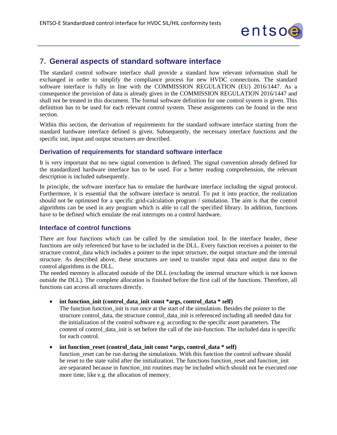

## <span id="page-19-0"></span>**7. General aspects of standard software interface**

The standard control software interface shall provide a standard how relevant information shall be exchanged in order to simplify the compliance process for new HVDC connections. The standard software interface is fully in line with the COMMISSION REGULATION (EU) 2016/1447. As a consequence the provision of data is already given in the COMMISSION REGULATION 2016/1447 and shall not be treated in this document. The formal software definition for one control system is given. This definition has to be used for each relevant control system. These assignments can be found in the next section.

Within this section, the derivation of requirements for the standard software interface starting from the standard hardware interface defined is given. Subsequently, the necessary interface functions and the specific init, input and output structures are described.

#### <span id="page-19-1"></span>**Derivation of requirements for standard software interface**

It is very important that no new signal convention is defined. The signal convention already defined for the standardized hardware interface has to be used. For a better reading comprehension, the relevant description is included subsequently.

In principle, the software interface has to emulate the hardware interface including the signal protocol. Furthermore, it is essential that the software interface is neutral. To put it into practice, the realization should not be optimised for a specific grid-calculation program / simulation. The aim is that the control algorithms can be used in any program which is able to call the specified library. In addition, functions have to be defined which emulate the real interrupts on a control hardware.

#### <span id="page-19-2"></span>**Interface of control functions**

There are four functions which can be called by the simulation tool. In the interface header, these functions are only referenced but have to be included in the DLL. Every function receives a pointer to the structure control\_data which includes a pointer to the input structure, the output structure and the internal structure. As described above, these structures are used to transfer input data and output data to the control algorithms in the DLL.

The needed memory is allocated outside of the DLL (excluding the internal structure which is not known outside the DLL). The complete allocation is finished before the first call of the functions. Therefore, all functions can access all structures directly.

#### • **int function\_init (control\_data\_init const \*args, control\_data \* self)**

The function function\_init is run once at the start of the simulation. Besides the pointer to the structure control\_data, the structure control\_data\_init is referenced including all needed data for the initialization of the control software e.g. according to the specific asset parameters. The content of control\_data\_init is set before the call of the init-function. The included data is specific for each control.

#### • **int function\_reset (control\_data\_init const \*args, control\_data \* self)**

function reset can be run during the simulations. With this function the control software should be reset to the state valid after the initialization. The functions function reset and function init are separated because in function\_init routines may be included which should not be executed one more time, like e.g. the allocation of memory.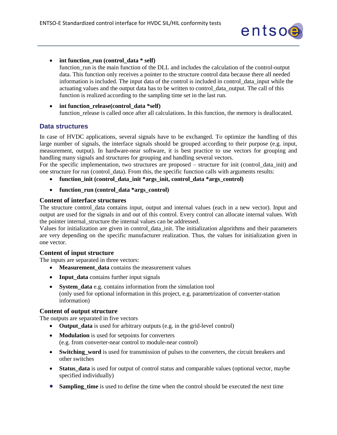

• **int function\_run (control\_data \* self)**

function\_run is the main function of the DLL and includes the calculation of the control-output data. This function only receives a pointer to the structure control data because there all needed information is included. The input data of the control is included in control\_data\_input while the actuating values and the output data has to be written to control\_data\_output. The call of this function is realized according to the sampling time set in the last run.

• **int function\_release(control\_data \*self)** function release is called once after all calculations. In this function, the memory is deallocated.

## <span id="page-20-0"></span>**Data structures**

In case of HVDC applications, several signals have to be exchanged. To optimize the handling of this large number of signals, the interface signals should be grouped according to their purpose (e.g. input, measurement, output). In hardware-near software, it is best practice to use vectors for grouping and handling many signals and structures for grouping and handling several vectors.

For the specific implementation, two structures are proposed – structure for init (control\_data\_init) and one structure for run (control\_data). From this, the specific function calls with arguments results:

- function init (control data init \*args init, control data \*args control)
- function run (control data \*args control)

#### **Content of interface structures**

The structure control\_data contains input, output and internal values (each in a new vector). Input and output are used for the signals in and out of this control. Every control can allocate internal values. With the pointer internal\_structure the internal values can be addressed.

Values for initialization are given in control\_data\_init. The initialization algorithms and their parameters are very depending on the specific manufacturer realization. Thus, the values for initialization given in one vector.

#### **Content of input structure**

The inputs are separated in three vectors:

- Measurement data contains the measurement values
- **Input\_data** contains further input signals
- **System\_data** e.g. contains information from the simulation tool (only used for optional information in this project, e.g. parametrization of converter-station information)

#### **Content of output structure**

The outputs are separated in five vectors

- **Output\_data** is used for arbitrary outputs (e.g. in the grid-level control)
- **Modulation** is used for setpoints for converters (e.g. from converter-near control to module-near control)
- **Switching word** is used for transmission of pulses to the converters, the circuit breakers and other switches
- **Status\_data** is used for output of control status and comparable values (optional vector, maybe specified individually)
- **Sampling\_time** is used to define the time when the control should be executed the next time